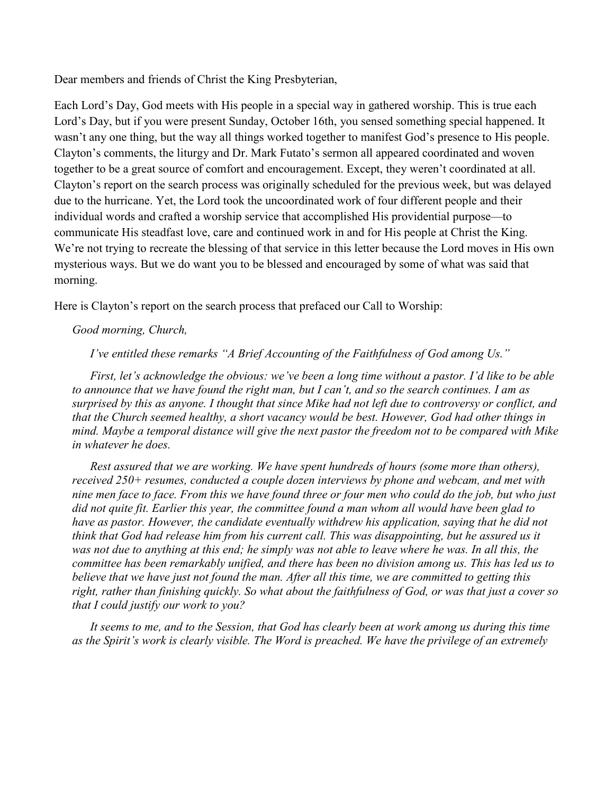Dear members and friends of Christ the King Presbyterian,

Each Lord's Day, God meets with His people in a special way in gathered worship. This is true each Lord's Day, but if you were present Sunday, October 16th, you sensed something special happened. It wasn't any one thing, but the way all things worked together to manifest God's presence to His people. Clayton's comments, the liturgy and Dr. Mark Futato's sermon all appeared coordinated and woven together to be a great source of comfort and encouragement. Except, they weren't coordinated at all. Clayton's report on the search process was originally scheduled for the previous week, but was delayed due to the hurricane. Yet, the Lord took the uncoordinated work of four different people and their individual words and crafted a worship service that accomplished His providential purpose—to communicate His steadfast love, care and continued work in and for His people at Christ the King. We're not trying to recreate the blessing of that service in this letter because the Lord moves in His own mysterious ways. But we do want you to be blessed and encouraged by some of what was said that morning.

Here is Clayton's report on the search process that prefaced our Call to Worship:

## Good morning, Church,

I've entitled these remarks "A Brief Accounting of the Faithfulness of God among Us."

 First, let's acknowledge the obvious: we've been a long time without a pastor. I'd like to be able to announce that we have found the right man, but I can't, and so the search continues. I am as surprised by this as anyone. I thought that since Mike had not left due to controversy or conflict, and that the Church seemed healthy, a short vacancy would be best. However, God had other things in mind. Maybe a temporal distance will give the next pastor the freedom not to be compared with Mike in whatever he does.

 Rest assured that we are working. We have spent hundreds of hours (some more than others), received 250+ resumes, conducted a couple dozen interviews by phone and webcam, and met with nine men face to face. From this we have found three or four men who could do the job, but who just did not quite fit. Earlier this year, the committee found a man whom all would have been glad to have as pastor. However, the candidate eventually withdrew his application, saying that he did not think that God had release him from his current call. This was disappointing, but he assured us it was not due to anything at this end; he simply was not able to leave where he was. In all this, the committee has been remarkably unified, and there has been no division among us. This has led us to believe that we have just not found the man. After all this time, we are committed to getting this right, rather than finishing quickly. So what about the faithfulness of God, or was that just a cover so that I could justify our work to you?

 It seems to me, and to the Session, that God has clearly been at work among us during this time as the Spirit's work is clearly visible. The Word is preached. We have the privilege of an extremely